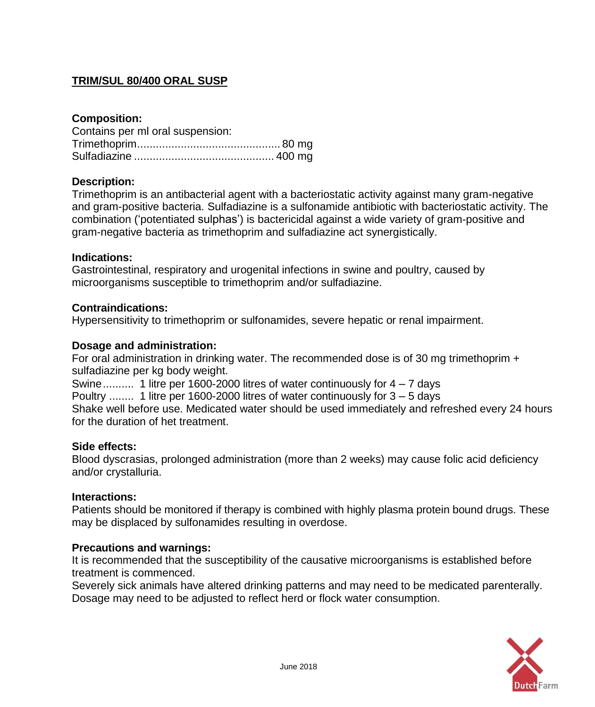# **TRIM/SUL 80/400 ORAL SUSP**

## **Composition:**

| Contains per ml oral suspension: |  |
|----------------------------------|--|
|                                  |  |
|                                  |  |

### **Description:**

Trimethoprim is an antibacterial agent with a bacteriostatic activity against many gram-negative and gram-positive bacteria. Sulfadiazine is a sulfonamide antibiotic with bacteriostatic activity. The combination ('potentiated sulphas') is bactericidal against a wide variety of gram-positive and gram-negative bacteria as trimethoprim and sulfadiazine act synergistically.

### **Indications:**

Gastrointestinal, respiratory and urogenital infections in swine and poultry, caused by microorganisms susceptible to trimethoprim and/or sulfadiazine.

### **Contraindications:**

Hypersensitivity to trimethoprim or sulfonamides, severe hepatic or renal impairment.

### **Dosage and administration:**

For oral administration in drinking water. The recommended dose is of 30 mg trimethoprim + sulfadiazine per kg body weight.

Swine........... 1 litre per 1600-2000 litres of water continuously for  $4 - 7$  days

Poultry ........ 1 litre per 1600-2000 litres of water continuously for 3 – 5 days

Shake well before use. Medicated water should be used immediately and refreshed every 24 hours for the duration of het treatment.

#### **Side effects:**

Blood dyscrasias, prolonged administration (more than 2 weeks) may cause folic acid deficiency and/or crystalluria.

#### **Interactions:**

Patients should be monitored if therapy is combined with highly plasma protein bound drugs. These may be displaced by sulfonamides resulting in overdose.

### **Precautions and warnings:**

It is recommended that the susceptibility of the causative microorganisms is established before treatment is commenced.

Severely sick animals have altered drinking patterns and may need to be medicated parenterally. Dosage may need to be adjusted to reflect herd or flock water consumption.